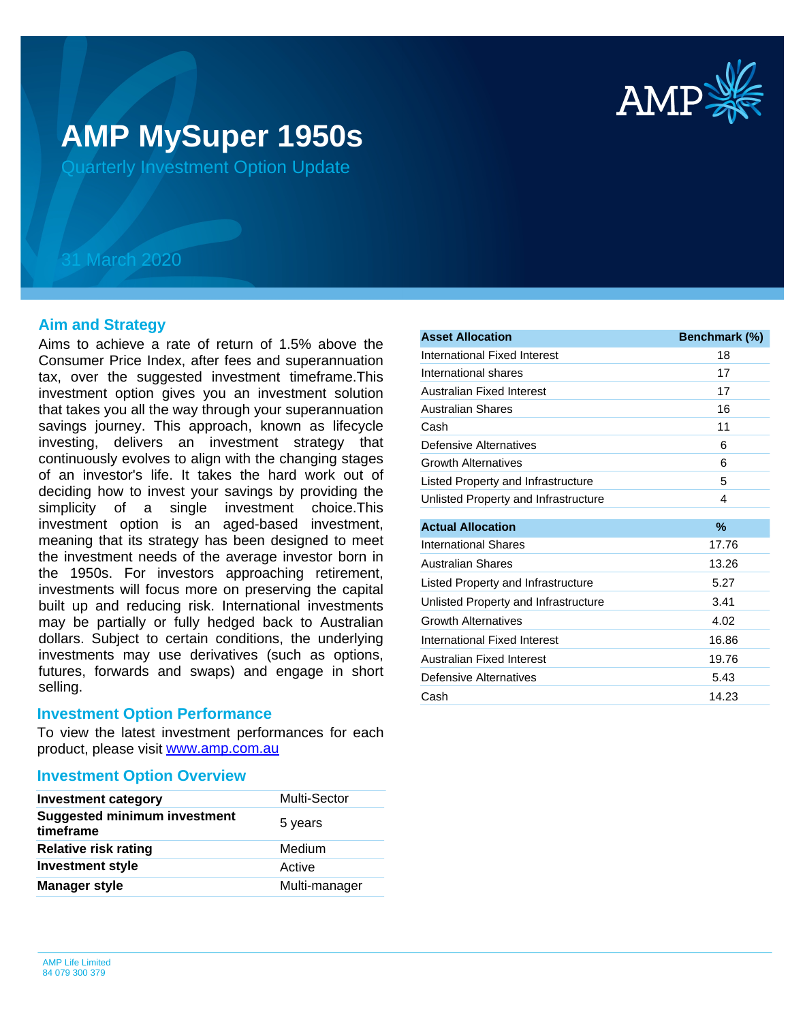

# **AMP MySuper 1950s**

Quarterly Investment Option Update

## 31 March 2020

## **Aim and Strategy**

Aims to achieve a rate of return of 1.5% above the Consumer Price Index, after fees and superannuation tax, over the suggested investment timeframe.This investment option gives you an investment solution that takes you all the way through your superannuation savings journey. This approach, known as lifecycle investing, delivers an investment strategy that continuously evolves to align with the changing stages of an investor's life. It takes the hard work out of deciding how to invest your savings by providing the simplicity of a single investment choice.This investment option is an aged-based investment, meaning that its strategy has been designed to meet the investment needs of the average investor born in the 1950s. For investors approaching retirement, investments will focus more on preserving the capital built up and reducing risk. International investments may be partially or fully hedged back to Australian dollars. Subject to certain conditions, the underlying investments may use derivatives (such as options, futures, forwards and swaps) and engage in short selling.

### **Investment Option Performance**

product, please visit **[www.amp.com.au](https://www.amp.com.au)** To view the latest investment performances for each

## **Investment Option Overview**

| <b>Investment category</b>                       | <b>Multi-Sector</b> |
|--------------------------------------------------|---------------------|
| <b>Suggested minimum investment</b><br>timeframe | 5 years             |
| <b>Relative risk rating</b>                      | Medium              |
| <b>Investment style</b>                          | Active              |
| <b>Manager style</b>                             | Multi-manager       |

| <b>Asset Allocation</b>              | Benchmark (%) |
|--------------------------------------|---------------|
| International Fixed Interest         | 18            |
| International shares                 | 17            |
| <b>Australian Fixed Interest</b>     | 17            |
| <b>Australian Shares</b>             | 16            |
| Cash                                 | 11            |
| Defensive Alternatives               | 6             |
| <b>Growth Alternatives</b>           | 6             |
| Listed Property and Infrastructure   | 5             |
| Unlisted Property and Infrastructure | 4             |
| <b>Actual Allocation</b>             | %             |
| International Shares                 | 17.76         |
| <b>Australian Shares</b>             | 13.26         |
| Listed Property and Infrastructure   | 5.27          |
| Unlisted Property and Infrastructure | 3.41          |
| <b>Growth Alternatives</b>           | 4.02          |
| International Fixed Interest         | 16.86         |
| Australian Fixed Interest            | 19.76         |
| Defensive Alternatives               | 5.43          |
| Cash                                 | 14.23         |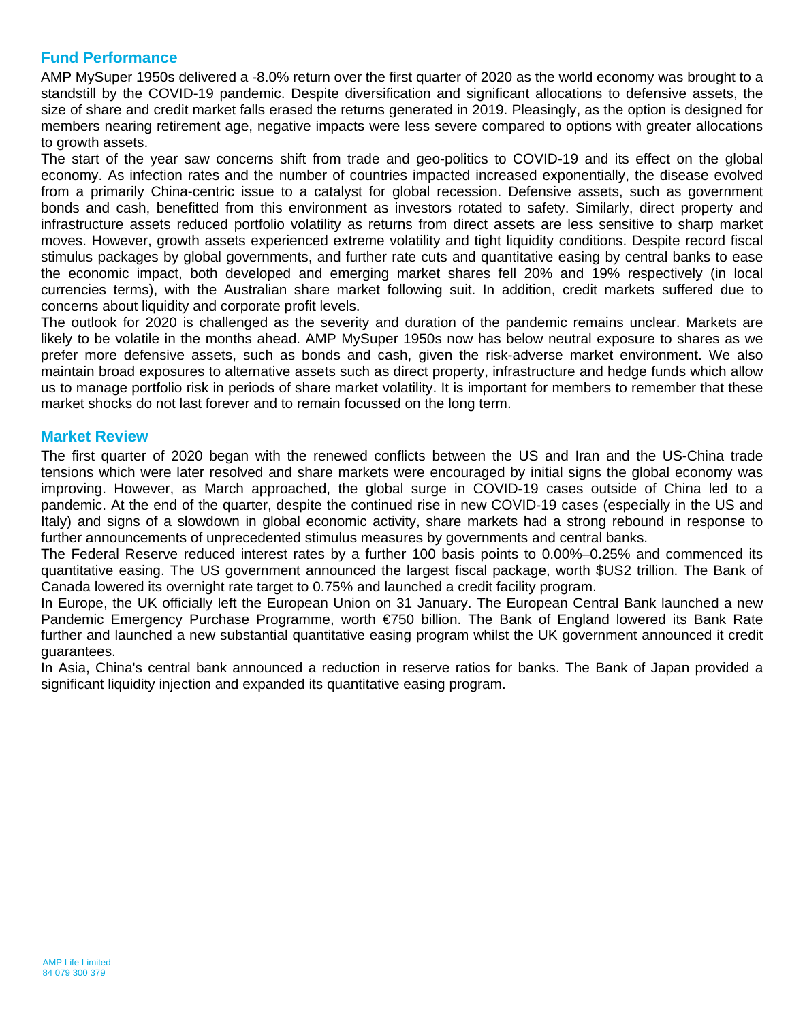## **Fund Performance**

AMP MySuper 1950s delivered a -8.0% return over the first quarter of 2020 as the world economy was brought to a standstill by the COVID-19 pandemic. Despite diversification and significant allocations to defensive assets, the size of share and credit market falls erased the returns generated in 2019. Pleasingly, as the option is designed for members nearing retirement age, negative impacts were less severe compared to options with greater allocations to growth assets.

The start of the year saw concerns shift from trade and geo-politics to COVID-19 and its effect on the global economy. As infection rates and the number of countries impacted increased exponentially, the disease evolved from a primarily China-centric issue to a catalyst for global recession. Defensive assets, such as government bonds and cash, benefitted from this environment as investors rotated to safety. Similarly, direct property and infrastructure assets reduced portfolio volatility as returns from direct assets are less sensitive to sharp market moves. However, growth assets experienced extreme volatility and tight liquidity conditions. Despite record fiscal stimulus packages by global governments, and further rate cuts and quantitative easing by central banks to ease the economic impact, both developed and emerging market shares fell 20% and 19% respectively (in local currencies terms), with the Australian share market following suit. In addition, credit markets suffered due to concerns about liquidity and corporate profit levels.

The outlook for 2020 is challenged as the severity and duration of the pandemic remains unclear. Markets are likely to be volatile in the months ahead. AMP MySuper 1950s now has below neutral exposure to shares as we prefer more defensive assets, such as bonds and cash, given the risk-adverse market environment. We also maintain broad exposures to alternative assets such as direct property, infrastructure and hedge funds which allow us to manage portfolio risk in periods of share market volatility. It is important for members to remember that these market shocks do not last forever and to remain focussed on the long term.

## **Market Review**

The first quarter of 2020 began with the renewed conflicts between the US and Iran and the US-China trade tensions which were later resolved and share markets were encouraged by initial signs the global economy was improving. However, as March approached, the global surge in COVID-19 cases outside of China led to a pandemic. At the end of the quarter, despite the continued rise in new COVID-19 cases (especially in the US and Italy) and signs of a slowdown in global economic activity, share markets had a strong rebound in response to further announcements of unprecedented stimulus measures by governments and central banks.

The Federal Reserve reduced interest rates by a further 100 basis points to 0.00%–0.25% and commenced its quantitative easing. The US government announced the largest fiscal package, worth \$US2 trillion. The Bank of Canada lowered its overnight rate target to 0.75% and launched a credit facility program.

In Europe, the UK officially left the European Union on 31 January. The European Central Bank launched a new Pandemic Emergency Purchase Programme, worth €750 billion. The Bank of England lowered its Bank Rate further and launched a new substantial quantitative easing program whilst the UK government announced it credit guarantees.

In Asia, China's central bank announced a reduction in reserve ratios for banks. The Bank of Japan provided a significant liquidity injection and expanded its quantitative easing program.